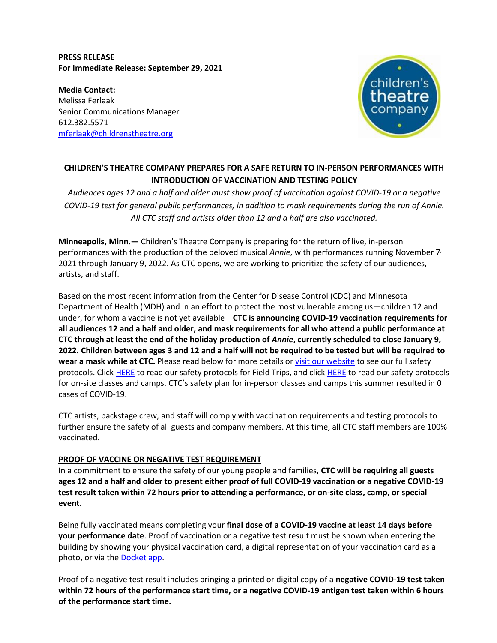## **PRESS RELEASE For Immediate Release: September 29, 2021**

**Media Contact:**  Melissa Ferlaak Senior Communications Manager 612.382.5571 mferlaak@childrenstheatre.org



# **CHILDREN'S THEATRE COMPANY PREPARES FOR A SAFE RETURN TO IN-PERSON PERFORMANCES WITH INTRODUCTION OF VACCINATION AND TESTING POLICY**

*Audiences ages 12 and a half and older must show proof of vaccination against COVID-19 or a negative COVID-19 test for general public performances, in addition to mask requirements during the run of Annie. All CTC staff and artists older than 12 and a half are also vaccinated.*

**Minneapolis, Minn.—** Children's Theatre Company is preparing for the return of live, in-person performances with the production of the beloved musical *Annie*, with performances running November 7, 2021 through January 9, 2022. As CTC opens, we are working to prioritize the safety of our audiences, artists, and staff.

Based on the most recent information from the Center for Disease Control (CDC) and Minnesota Department of Health (MDH) and in an effort to protect the most vulnerable among us—children 12 and under, for whom a vaccine is not yet available—**CTC is announcing COVID-19 vaccination requirements for all audiences 12 and a half and older, and mask requirements for all who attend a public performance at CTC through at least the end of the holiday production of** *Annie***, currently scheduled to close January 9, 2022. Children between ages 3 and 12 and a half will not be required to be tested but will be required to wear a mask while at CTC.** Please read below for more details or visit our website to see our full safety protocols. Click HERE to read our safety protocols for Field Trips, and click HERE to read our safety protocols for on-site classes and camps. CTC's safety plan for in-person classes and camps this summer resulted in 0 cases of COVID-19.

CTC artists, backstage crew, and staff will comply with vaccination requirements and testing protocols to further ensure the safety of all guests and company members. At this time, all CTC staff members are 100% vaccinated.

# **PROOF OF VACCINE OR NEGATIVE TEST REQUIREMENT**

In a commitment to ensure the safety of our young people and families, **CTC will be requiring all guests ages 12 and a half and older to present either proof of full COVID-19 vaccination or a negative COVID-19 test result taken within 72 hours prior to attending a performance, or on-site class, camp, or special event.**

Being fully vaccinated means completing your **final dose of a COVID-19 vaccine at least 14 days before your performance date**. Proof of vaccination or a negative test result must be shown when entering the building by showing your physical vaccination card, a digital representation of your vaccination card as a photo, or via the **Docket app**.

Proof of a negative test result includes bringing a printed or digital copy of a **negative COVID-19 test taken within 72 hours of the performance start time, or a negative COVID-19 antigen test taken within 6 hours of the performance start time.**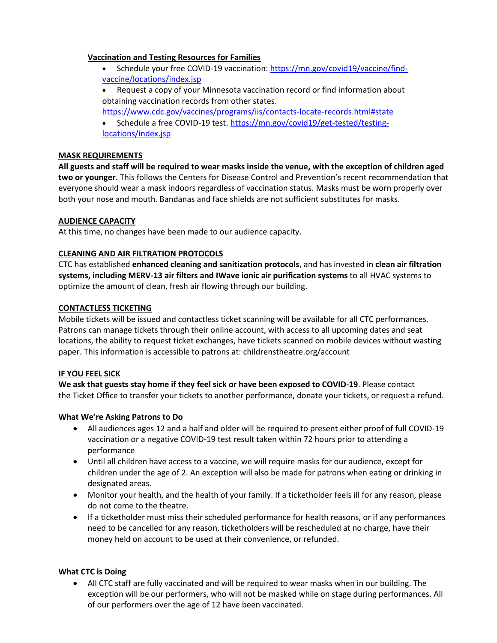#### **Vaccination and Testing Resources for Families**

- Schedule your free COVID-19 vaccination: [https://mn.gov/covid19/vaccine/find](https://mn.gov/covid19/vaccine/find-vaccine/locations/index.jsp)[vaccine/locations/index.jsp](https://mn.gov/covid19/vaccine/find-vaccine/locations/index.jsp)
- Request a copy of your Minnesota vaccination record or find information about obtaining vaccination records from other states.

<https://www.cdc.gov/vaccines/programs/iis/contacts-locate-records.html#state>

• Schedule a free COVID-19 test. [https://mn.gov/covid19/get-tested/testing](https://mn.gov/covid19/get-tested/testing-locations/index.jsp)[locations/index.jsp](https://mn.gov/covid19/get-tested/testing-locations/index.jsp)

#### **MASK REQUIREMENTS**

**All guests and staff will be required to wear masks inside the venue, with the exception of children aged two or younger.** This follows the Centers for Disease Control and Prevention's recent recommendation that everyone should wear a mask indoors regardless of vaccination status. Masks must be worn properly over both your nose and mouth. Bandanas and face shields are not sufficient substitutes for masks.

# **AUDIENCE CAPACITY**

At this time, no changes have been made to our audience capacity.

## **CLEANING AND AIR FILTRATION PROTOCOLS**

CTC has established **enhanced cleaning and sanitization protocols**, and has invested in **clean air filtration systems, including MERV-13 air filters and IWave ionic air purification systems** to all HVAC systems to optimize the amount of clean, fresh air flowing through our building.

## **CONTACTLESS TICKETING**

Mobile tickets will be issued and contactless ticket scanning will be available for all CTC performances. Patrons can manage tickets through their online account, with access to all upcoming dates and seat locations, the ability to request ticket exchanges, have tickets scanned on mobile devices without wasting paper. This information is accessible to patrons at: childrenstheatre.org/account

# **IF YOU FEEL SICK**

**We ask that guests stay home if they feel sick or have been exposed to COVID-19**. Please contact the Ticket Office to transfer your tickets to another performance, donate your tickets, or request a refund.

# **What We're Asking Patrons to Do**

- All audiences ages 12 and a half and older will be required to present either proof of full COVID-19 vaccination or a negative COVID-19 test result taken within 72 hours prior to attending a performance
- Until all children have access to a vaccine, we will require masks for our audience, except for children under the age of 2. An exception will also be made for patrons when eating or drinking in designated areas.
- Monitor your health, and the health of your family. If a ticketholder feels ill for any reason, please do not come to the theatre.
- If a ticketholder must miss their scheduled performance for health reasons, or if any performances need to be cancelled for any reason, ticketholders will be rescheduled at no charge, have their money held on account to be used at their convenience, or refunded.

# **What CTC is Doing**

• All CTC staff are fully vaccinated and will be required to wear masks when in our building. The exception will be our performers, who will not be masked while on stage during performances. All of our performers over the age of 12 have been vaccinated.